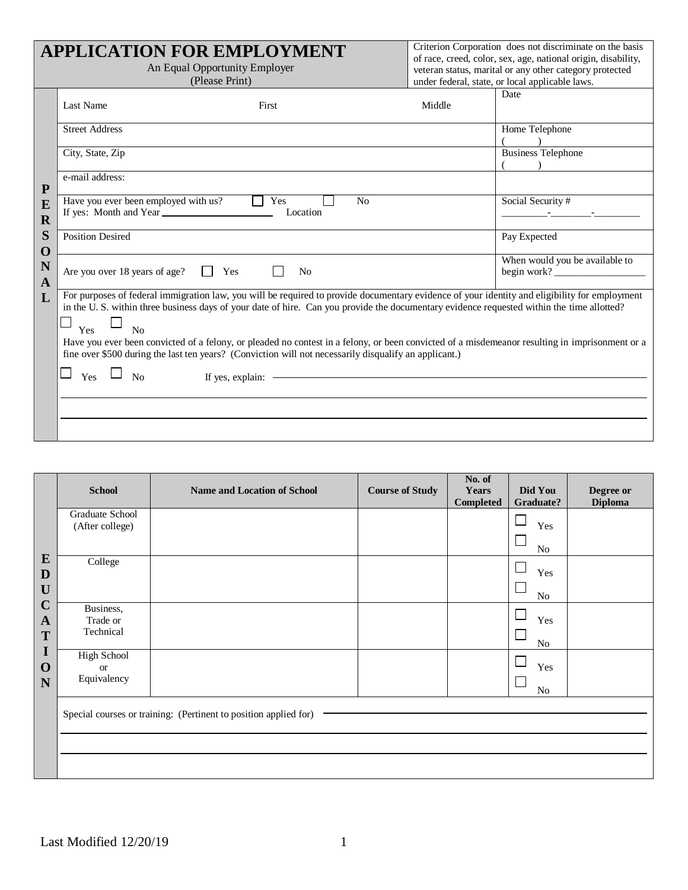| <b>APPLICATION FOR EMPLOYMENT</b><br>An Equal Opportunity Employer<br>(Please Print) |                                                                                                                                                                                                                                                                                                                                                                                                                                                                                                                                                                    |       | Criterion Corporation does not discriminate on the basis<br>of race, creed, color, sex, age, national origin, disability,<br>veteran status, marital or any other category protected<br>under federal, state, or local applicable laws. |                                                                     |      |
|--------------------------------------------------------------------------------------|--------------------------------------------------------------------------------------------------------------------------------------------------------------------------------------------------------------------------------------------------------------------------------------------------------------------------------------------------------------------------------------------------------------------------------------------------------------------------------------------------------------------------------------------------------------------|-------|-----------------------------------------------------------------------------------------------------------------------------------------------------------------------------------------------------------------------------------------|---------------------------------------------------------------------|------|
|                                                                                      | Last Name                                                                                                                                                                                                                                                                                                                                                                                                                                                                                                                                                          | First |                                                                                                                                                                                                                                         | Middle                                                              | Date |
|                                                                                      | <b>Street Address</b>                                                                                                                                                                                                                                                                                                                                                                                                                                                                                                                                              |       |                                                                                                                                                                                                                                         | Home Telephone                                                      |      |
|                                                                                      | City, State, Zip                                                                                                                                                                                                                                                                                                                                                                                                                                                                                                                                                   |       |                                                                                                                                                                                                                                         | <b>Business Telephone</b>                                           |      |
| ${\bf P}$                                                                            | e-mail address:                                                                                                                                                                                                                                                                                                                                                                                                                                                                                                                                                    |       |                                                                                                                                                                                                                                         |                                                                     |      |
| E<br>$\mathbf R$                                                                     | Have you ever been employed with us?<br>Yes<br>No<br>If yes: Month and Year<br>Location                                                                                                                                                                                                                                                                                                                                                                                                                                                                            |       |                                                                                                                                                                                                                                         | Social Security #<br>and the state of the state of the state of the |      |
| S<br>O                                                                               | <b>Position Desired</b>                                                                                                                                                                                                                                                                                                                                                                                                                                                                                                                                            |       |                                                                                                                                                                                                                                         | Pay Expected                                                        |      |
| N<br>A<br>L                                                                          | Are you over 18 years of age?<br>N <sub>o</sub><br>Yes                                                                                                                                                                                                                                                                                                                                                                                                                                                                                                             |       |                                                                                                                                                                                                                                         | When would you be available to<br>begin work?                       |      |
|                                                                                      | For purposes of federal immigration law, you will be required to provide documentary evidence of your identity and eligibility for employment<br>in the U.S. within three business days of your date of hire. Can you provide the documentary evidence requested within the time allotted?<br>Yes<br>No<br>Have you ever been convicted of a felony, or pleaded no contest in a felony, or been convicted of a misdemeanor resulting in imprisonment or a<br>fine over \$500 during the last ten years? (Conviction will not necessarily disqualify an applicant.) |       |                                                                                                                                                                                                                                         |                                                                     |      |
|                                                                                      | $Y_{\text{es}} \perp_{\text{No}}$<br>If yes, explain: $\overline{\phantom{a}}$                                                                                                                                                                                                                                                                                                                                                                                                                                                                                     |       |                                                                                                                                                                                                                                         |                                                                     |      |
|                                                                                      |                                                                                                                                                                                                                                                                                                                                                                                                                                                                                                                                                                    |       |                                                                                                                                                                                                                                         |                                                                     |      |
|                                                                                      |                                                                                                                                                                                                                                                                                                                                                                                                                                                                                                                                                                    |       |                                                                                                                                                                                                                                         |                                                                     |      |

|                                           | <b>School</b>                                                    | <b>Name and Location of School</b> | <b>Course of Study</b> | No. of<br><b>Years</b><br><b>Completed</b> | Did You<br>Graduate? | Degree or<br><b>Diploma</b> |  |
|-------------------------------------------|------------------------------------------------------------------|------------------------------------|------------------------|--------------------------------------------|----------------------|-----------------------------|--|
| ${\bf E}$<br>D                            | Graduate School<br>(After college)                               |                                    |                        |                                            | Yes                  |                             |  |
|                                           | College                                                          |                                    |                        |                                            | $\rm No$<br>Yes      |                             |  |
| U<br>$\mathbf C$                          |                                                                  |                                    |                        |                                            | No                   |                             |  |
| $\mathbf{A}$<br>T                         | Business,<br>Trade or<br>Technical                               |                                    |                        |                                            | Yes<br>No            |                             |  |
| $\mathbf I$<br>$\mathbf 0$<br>$\mathbf N$ | <b>High School</b><br><b>or</b><br>Equivalency                   |                                    |                        |                                            | Yes<br>No            |                             |  |
|                                           | Special courses or training: (Pertinent to position applied for) |                                    |                        |                                            |                      |                             |  |
|                                           |                                                                  |                                    |                        |                                            |                      |                             |  |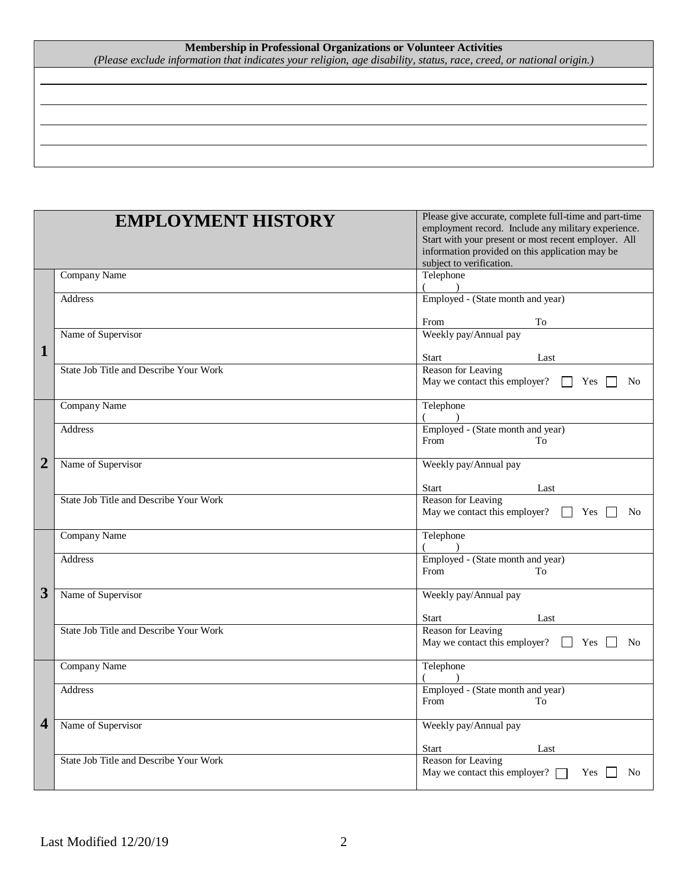## **Membership in Professional Organizations or Volunteer Activities**

*(Please exclude information that indicates your religion, age disability, status, race, creed, or national origin.)*

| <b>EMPLOYMENT HISTORY</b> |                                        | Please give accurate, complete full-time and part-time               |  |  |
|---------------------------|----------------------------------------|----------------------------------------------------------------------|--|--|
|                           |                                        | employment record. Include any military experience.                  |  |  |
|                           |                                        | Start with your present or most recent employer. All                 |  |  |
|                           |                                        | information provided on this application may be                      |  |  |
|                           |                                        | subject to verification.                                             |  |  |
|                           | Company Name                           | Telephone                                                            |  |  |
|                           |                                        | Employed - (State month and year)                                    |  |  |
|                           | <b>Address</b>                         |                                                                      |  |  |
|                           |                                        | To<br>From                                                           |  |  |
|                           | Name of Supervisor                     | Weekly pay/Annual pay                                                |  |  |
| 1                         |                                        |                                                                      |  |  |
|                           |                                        | Start<br>Last                                                        |  |  |
|                           | State Job Title and Describe Your Work | Reason for Leaving                                                   |  |  |
|                           |                                        | May we contact this employer?<br>$\vert \vert$ Yes<br>N <sub>0</sub> |  |  |
|                           | Company Name                           | Telephone                                                            |  |  |
|                           |                                        |                                                                      |  |  |
| $\overline{2}$            | Address                                | Employed - (State month and year)                                    |  |  |
|                           |                                        | From<br>To                                                           |  |  |
|                           | Name of Supervisor                     | Weekly pay/Annual pay                                                |  |  |
|                           |                                        |                                                                      |  |  |
|                           |                                        | Start<br>Last                                                        |  |  |
|                           | State Job Title and Describe Your Work | Reason for Leaving                                                   |  |  |
|                           |                                        | May we contact this employer?<br>Yes<br>N <sub>0</sub>               |  |  |
|                           | Company Name                           | Telephone                                                            |  |  |
|                           |                                        |                                                                      |  |  |
|                           | Address                                | Employed - (State month and year)                                    |  |  |
|                           |                                        | From<br>To                                                           |  |  |
| 3                         | Name of Supervisor                     | Weekly pay/Annual pay                                                |  |  |
|                           |                                        |                                                                      |  |  |
|                           |                                        | Start<br>Last                                                        |  |  |
|                           | State Job Title and Describe Your Work | Reason for Leaving                                                   |  |  |
|                           |                                        | May we contact this employer?<br>$\perp$<br>Yes<br>No                |  |  |
|                           | <b>Company Name</b>                    | Telephone                                                            |  |  |
| 4                         |                                        |                                                                      |  |  |
|                           | <b>Address</b>                         | Employed - (State month and year)                                    |  |  |
|                           |                                        | From<br>To                                                           |  |  |
|                           | Name of Supervisor                     | Weekly pay/Annual pay                                                |  |  |
|                           |                                        |                                                                      |  |  |
|                           |                                        | Start<br>Last                                                        |  |  |
|                           | State Job Title and Describe Your Work | Reason for Leaving                                                   |  |  |
|                           |                                        | May we contact this employer?<br>Yes<br>No                           |  |  |
|                           |                                        |                                                                      |  |  |